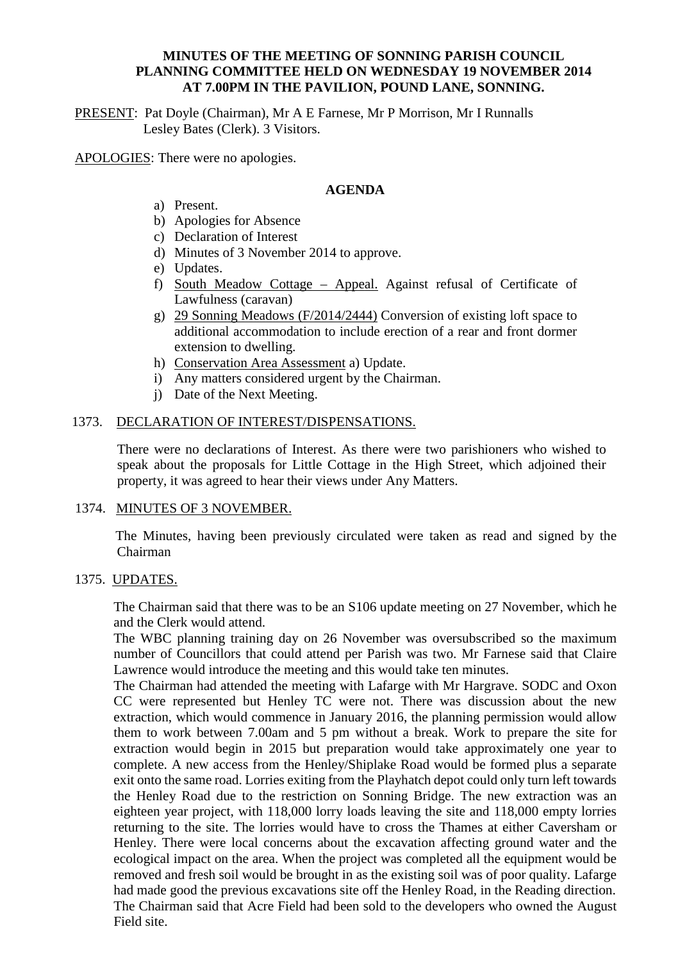### **MINUTES OF THE MEETING OF SONNING PARISH COUNCIL PLANNING COMMITTEE HELD ON WEDNESDAY 19 NOVEMBER 2014 AT 7.00PM IN THE PAVILION, POUND LANE, SONNING.**

PRESENT: Pat Doyle (Chairman), Mr A E Farnese, Mr P Morrison, Mr I Runnalls Lesley Bates (Clerk). 3 Visitors.

APOLOGIES: There were no apologies.

#### **AGENDA**

- a) Present.
- b) Apologies for Absence
- c) Declaration of Interest
- d) Minutes of 3 November 2014 to approve.
- e) Updates.
- f) South Meadow Cottage Appeal. Against refusal of Certificate of Lawfulness (caravan)
- g) 29 Sonning Meadows (F/2014/2444) Conversion of existing loft space to additional accommodation to include erection of a rear and front dormer extension to dwelling.
- h) Conservation Area Assessment a) Update.
- i) Any matters considered urgent by the Chairman.
- j) Date of the Next Meeting.

## 1373. DECLARATION OF INTEREST/DISPENSATIONS.

There were no declarations of Interest. As there were two parishioners who wished to speak about the proposals for Little Cottage in the High Street, which adjoined their property, it was agreed to hear their views under Any Matters.

### 1374. MINUTES OF 3 NOVEMBER.

 The Minutes, having been previously circulated were taken as read and signed by the Chairman

### 1375. UPDATES.

The Chairman said that there was to be an S106 update meeting on 27 November, which he and the Clerk would attend.

The WBC planning training day on 26 November was oversubscribed so the maximum number of Councillors that could attend per Parish was two. Mr Farnese said that Claire Lawrence would introduce the meeting and this would take ten minutes.

The Chairman had attended the meeting with Lafarge with Mr Hargrave. SODC and Oxon CC were represented but Henley TC were not. There was discussion about the new extraction, which would commence in January 2016, the planning permission would allow them to work between 7.00am and 5 pm without a break. Work to prepare the site for extraction would begin in 2015 but preparation would take approximately one year to complete. A new access from the Henley/Shiplake Road would be formed plus a separate exit onto the same road. Lorries exiting from the Playhatch depot could only turn left towards the Henley Road due to the restriction on Sonning Bridge. The new extraction was an eighteen year project, with 118,000 lorry loads leaving the site and 118,000 empty lorries returning to the site. The lorries would have to cross the Thames at either Caversham or Henley. There were local concerns about the excavation affecting ground water and the ecological impact on the area. When the project was completed all the equipment would be removed and fresh soil would be brought in as the existing soil was of poor quality. Lafarge had made good the previous excavations site off the Henley Road, in the Reading direction. The Chairman said that Acre Field had been sold to the developers who owned the August Field site.